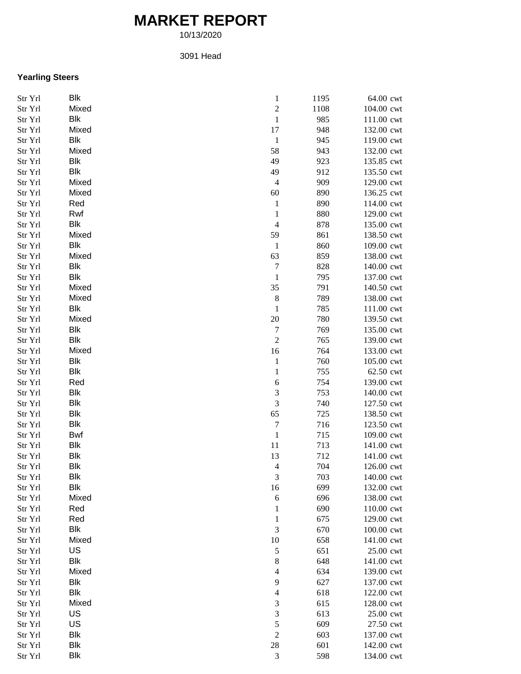## **MARKET REPORT**

10/13/2020

## 3091 Head

## **Yearling Steers**

| Str Yrl | <b>Blk</b> | $\,1$                    | 1195 | 64.00 cwt  |
|---------|------------|--------------------------|------|------------|
| Str Yrl | Mixed      | $\overline{\mathbf{c}}$  | 1108 | 104.00 cwt |
| Str Yrl | <b>Blk</b> | $\,1\,$                  | 985  | 111.00 cwt |
| Str Yrl | Mixed      | 17                       | 948  | 132.00 cwt |
| Str Yrl | <b>Blk</b> | $\mathbf{1}$             | 945  | 119.00 cwt |
| Str Yrl | Mixed      | 58                       | 943  | 132.00 cwt |
| Str Yrl | <b>Blk</b> | 49                       | 923  | 135.85 cwt |
| Str Yrl | <b>Blk</b> | 49                       | 912  | 135.50 cwt |
| Str Yrl | Mixed      | $\overline{4}$           | 909  | 129.00 cwt |
| Str Yrl | Mixed      | 60                       | 890  | 136.25 cwt |
| Str Yrl | Red        | $\mathbf{1}$             | 890  | 114.00 cwt |
| Str Yrl | Rwf        | $\mathbf{1}$             | 880  | 129.00 cwt |
| Str Yrl | <b>Blk</b> | $\overline{4}$           | 878  | 135.00 cwt |
| Str Yrl | Mixed      | 59                       | 861  | 138.50 cwt |
| Str Yrl | <b>Blk</b> | $\mathbf{1}$             | 860  | 109.00 cwt |
| Str Yrl | Mixed      | 63                       | 859  | 138.00 cwt |
| Str Yrl | <b>Blk</b> | $\overline{7}$           | 828  | 140.00 cwt |
| Str Yrl | Blk        | $\mathbf{1}$             | 795  | 137.00 cwt |
| Str Yrl | Mixed      | 35                       | 791  | 140.50 cwt |
| Str Yrl | Mixed      | $\,$ 8 $\,$              | 789  | 138.00 cwt |
| Str Yrl | <b>Blk</b> | $\mathbf{1}$             | 785  | 111.00 cwt |
| Str Yrl | Mixed      | 20                       | 780  | 139.50 cwt |
| Str Yrl | <b>Blk</b> | $\overline{7}$           | 769  | 135.00 cwt |
|         | <b>Blk</b> | $\overline{c}$           |      |            |
| Str Yrl | Mixed      |                          | 765  | 139.00 cwt |
| Str Yrl |            | 16                       | 764  | 133.00 cwt |
| Str Yrl | <b>Blk</b> | $\mathbf{1}$             | 760  | 105.00 cwt |
| Str Yrl | <b>Blk</b> | $\mathbf{1}$             | 755  | 62.50 cwt  |
| Str Yrl | Red        | 6                        | 754  | 139.00 cwt |
| Str Yrl | <b>Blk</b> | 3                        | 753  | 140.00 cwt |
| Str Yrl | <b>Blk</b> | 3                        | 740  | 127.50 cwt |
| Str Yrl | <b>Blk</b> | 65                       | 725  | 138.50 cwt |
| Str Yrl | <b>Blk</b> | $\sqrt{ }$               | 716  | 123.50 cwt |
| Str Yrl | <b>Bwf</b> | $\mathbf{1}$             | 715  | 109.00 cwt |
| Str Yrl | <b>Blk</b> | 11                       | 713  | 141.00 cwt |
| Str Yrl | <b>Blk</b> | 13                       | 712  | 141.00 cwt |
| Str Yrl | <b>Blk</b> | $\overline{4}$           | 704  | 126.00 cwt |
| Str Yrl | <b>Blk</b> | 3                        | 703  | 140.00 cwt |
| Str Yrl | Blk        | 16                       | 699  | 132.00 cwt |
| Str Yrl | Mixed      | 6                        | 696  | 138.00 cwt |
| Str Yrl | Red        | $\mathbf{1}$             | 690  | 110.00 cwt |
| Str Yrl | Red        | $\mathbf{1}$             | 675  | 129.00 cwt |
| Str Yrl | <b>Blk</b> | 3                        | 670  | 100.00 cwt |
| Str Yrl | Mixed      | $10\,$                   | 658  | 141.00 cwt |
| Str Yrl | US         | $\sqrt{5}$               | 651  | 25.00 cwt  |
| Str Yrl | <b>Blk</b> | $\,$ $\,$                | 648  | 141.00 cwt |
| Str Yrl | Mixed      | $\overline{\mathcal{L}}$ | 634  | 139.00 cwt |
| Str Yrl | <b>Blk</b> | 9                        | 627  | 137.00 cwt |
| Str Yrl | <b>Blk</b> | $\overline{\mathcal{L}}$ | 618  | 122.00 cwt |
| Str Yrl | Mixed      | 3                        | 615  | 128.00 cwt |
| Str Yrl | US         | 3                        | 613  | 25.00 cwt  |
| Str Yrl | US         | 5                        | 609  | 27.50 cwt  |
| Str Yrl | <b>Blk</b> | $\overline{c}$           | 603  | 137.00 cwt |
| Str Yrl | <b>Blk</b> | 28                       | 601  | 142.00 cwt |
| Str Yrl | <b>Blk</b> | $\mathfrak{Z}$           | 598  | 134.00 cwt |
|         |            |                          |      |            |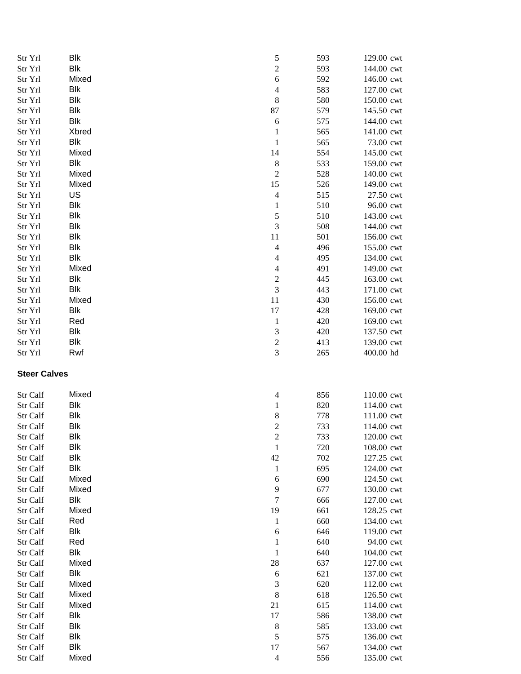| Str Yrl             | <b>Blk</b> | $\mathfrak s$            | 593 | 129.00 cwt |
|---------------------|------------|--------------------------|-----|------------|
| Str Yrl             | <b>Blk</b> | $\overline{c}$           | 593 | 144.00 cwt |
| Str Yrl             | Mixed      | 6                        | 592 | 146.00 cwt |
| Str Yrl             | <b>Blk</b> | $\overline{\mathcal{L}}$ | 583 | 127.00 cwt |
| Str Yrl             | <b>Blk</b> | $\,$ 8 $\,$              | 580 | 150.00 cwt |
| Str Yrl             | <b>Blk</b> | 87                       | 579 | 145.50 cwt |
| Str Yrl             | <b>Blk</b> | 6                        | 575 | 144.00 cwt |
| Str Yrl             | Xbred      | $\mathbf{1}$             | 565 | 141.00 cwt |
| Str Yrl             | <b>Blk</b> | $\mathbf{1}$             | 565 | 73.00 cwt  |
| Str Yrl             | Mixed      | 14                       | 554 | 145.00 cwt |
| Str Yrl             | <b>Blk</b> | $\,$ 8 $\,$              | 533 | 159.00 cwt |
| Str Yrl             | Mixed      | $\overline{c}$           | 528 | 140.00 cwt |
| Str Yrl             | Mixed      | 15                       | 526 | 149.00 cwt |
| Str Yrl             | US         | $\overline{4}$           | 515 | 27.50 cwt  |
| Str Yrl             | <b>Blk</b> | $\mathbf{1}$             | 510 | 96.00 cwt  |
| Str Yrl             | <b>Blk</b> | 5                        | 510 | 143.00 cwt |
| Str Yrl             | <b>Blk</b> | 3                        | 508 | 144.00 cwt |
| Str Yrl             | <b>Blk</b> | 11                       | 501 | 156.00 cwt |
| Str Yrl             | <b>Blk</b> | $\overline{4}$           | 496 | 155.00 cwt |
| Str Yrl             | <b>Blk</b> | $\overline{\mathcal{L}}$ | 495 | 134.00 cwt |
| Str Yrl             | Mixed      | $\overline{4}$           | 491 | 149.00 cwt |
| Str Yrl             | <b>Blk</b> | $\overline{\mathbf{c}}$  | 445 | 163.00 cwt |
| Str Yrl             | <b>Blk</b> | $\overline{3}$           | 443 | 171.00 cwt |
| Str Yrl             | Mixed      | 11                       | 430 | 156.00 cwt |
| Str Yrl             | <b>Blk</b> | 17                       | 428 | 169.00 cwt |
| Str Yrl             | Red        | $\mathbf{1}$             | 420 | 169.00 cwt |
| Str Yrl             | <b>Blk</b> | 3                        | 420 | 137.50 cwt |
| Str Yrl             | <b>Blk</b> | $\overline{c}$           | 413 | 139.00 cwt |
| Str Yrl             | Rwf        | $\mathfrak{Z}$           | 265 | 400.00 hd  |
| <b>Steer Calves</b> |            |                          |     |            |
| Str Calf            | Mixed      | $\overline{\mathcal{A}}$ | 856 | 110.00 cwt |
| Str Calf            | <b>Blk</b> | $\mathbf{1}$             | 820 | 114.00 cwt |
| Str Calf            | Blk        | 8                        | 778 | 111.00 cwt |
| Str Calf            | Blk        | $\overline{c}$           | 733 | 114.00 cwt |
| Str Calf            | <b>Blk</b> | $\overline{c}$           | 733 | 120.00 cwt |
| Str Calf            | Blk        | $\mathbf{1}$             | 720 | 108.00 cwt |
| Str Calf            | <b>Blk</b> | 42                       | 702 | 127.25 cwt |
| Str Calf            | <b>Blk</b> | $\mathbf{1}$             | 695 | 124.00 cwt |
| Str Calf            | Mixed      | 6                        | 690 | 124.50 cwt |
| Str Calf            | Mixed      | 9                        | 677 | 130.00 cwt |
| Str Calf            | <b>Blk</b> | $\tau$                   | 666 | 127.00 cwt |
| Str Calf            | Mixed      | 19                       | 661 | 128.25 cwt |
| Str Calf            | Red        | $\mathbf{1}$             | 660 | 134.00 cwt |
| Str Calf            | <b>Blk</b> | 6                        | 646 | 119.00 cwt |
| Str Calf            | Red        | $\mathbf{1}$             | 640 | 94.00 cwt  |
| Str Calf            | <b>Blk</b> | $\mathbf{1}$             | 640 | 104.00 cwt |
| Str Calf            | Mixed      | 28                       | 637 | 127.00 cwt |
| Str Calf            | <b>Blk</b> | 6                        | 621 | 137.00 cwt |
| Str Calf            | Mixed      | 3                        | 620 | 112.00 cwt |
| Str Calf            | Mixed      | $\,$ 8 $\,$              | 618 | 126.50 cwt |
| Str Calf            | Mixed      | 21                       | 615 | 114.00 cwt |
| Str Calf            | <b>Blk</b> | 17                       | 586 | 138.00 cwt |
| Str Calf            | <b>Blk</b> | $\,8\,$                  | 585 | 133.00 cwt |
| Str Calf            | Blk        | 5                        | 575 | 136.00 cwt |
| Str Calf            | Blk        | 17                       | 567 | 134.00 cwt |
| Str Calf            | Mixed      | $\overline{4}$           | 556 | 135.00 cwt |
|                     |            |                          |     |            |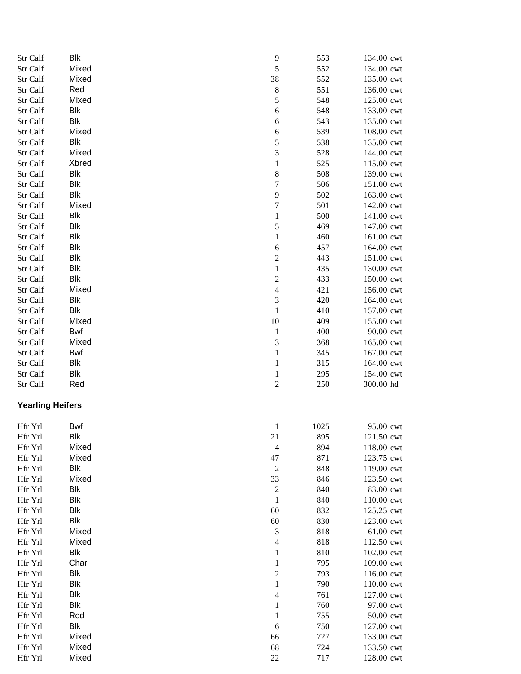| Str Calf                | Blk        | 9                        | 553  | 134.00 cwt |
|-------------------------|------------|--------------------------|------|------------|
| Str Calf                | Mixed      | 5                        | 552  | 134.00 cwt |
| Str Calf                | Mixed      | 38                       | 552  | 135.00 cwt |
| Str Calf                | Red        | 8                        | 551  | 136.00 cwt |
| Str Calf                | Mixed      | 5                        | 548  | 125.00 cwt |
| Str Calf                | Blk        | 6                        | 548  | 133.00 cwt |
| Str Calf                | <b>Blk</b> | 6                        | 543  | 135.00 cwt |
| Str Calf                | Mixed      | 6                        | 539  | 108.00 cwt |
| Str Calf                | Blk        | 5                        | 538  | 135.00 cwt |
| Str Calf                | Mixed      | 3                        | 528  | 144.00 cwt |
| Str Calf                | Xbred      | $\,1$                    | 525  | 115.00 cwt |
| Str Calf                | Blk        | $\,$ 8 $\,$              | 508  | 139.00 cwt |
| Str Calf                | <b>Blk</b> | $\overline{7}$           | 506  | 151.00 cwt |
| Str Calf                | <b>Blk</b> | 9                        | 502  | 163.00 cwt |
| Str Calf                | Mixed      | $\overline{7}$           | 501  | 142.00 cwt |
| Str Calf                | Blk        | $\mathbf{1}$             | 500  | 141.00 cwt |
| Str Calf                | Blk        | 5                        | 469  | 147.00 cwt |
| Str Calf                | Blk        | $\mathbf{1}$             | 460  | 161.00 cwt |
| Str Calf                | Blk        | 6                        | 457  | 164.00 cwt |
| Str Calf                | Blk        | $\overline{c}$           | 443  | 151.00 cwt |
| Str Calf                | <b>Blk</b> | $\mathbf{1}$             | 435  | 130.00 cwt |
| Str Calf                | <b>Blk</b> | $\overline{c}$           | 433  | 150.00 cwt |
| Str Calf                | Mixed      | $\overline{4}$           | 421  | 156.00 cwt |
| Str Calf                | Blk        | 3                        | 420  | 164.00 cwt |
| Str Calf                | <b>Blk</b> | $\,1\,$                  | 410  | 157.00 cwt |
| Str Calf                | Mixed      | 10                       | 409  | 155.00 cwt |
| Str Calf                | Bwf        | $\mathbf{1}$             | 400  | 90.00 cwt  |
| Str Calf                | Mixed      | 3                        | 368  | 165.00 cwt |
| Str Calf                | Bwf        | $\,1\,$                  | 345  | 167.00 cwt |
| Str Calf                | <b>Blk</b> | $\mathbf{1}$             | 315  | 164.00 cwt |
| Str Calf                | <b>Blk</b> | $\mathbf{1}$             | 295  | 154.00 cwt |
| Str Calf                | Red        | $\overline{c}$           | 250  | 300.00 hd  |
| <b>Yearling Heifers</b> |            |                          |      |            |
|                         |            |                          |      |            |
| Hfr Yrl                 | Bwf        | $\mathbf{1}$             | 1025 | 95.00 cwt  |
| Hfr Yrl                 | Blk        | 21                       | 895  | 121.50 cwt |
| Hfr Yrl                 | Mixed      | $\overline{4}$           | 894  | 118.00 cwt |
| Hfr Yrl                 | Mixed      | 47                       | 871  | 123.75 cwt |
| Hfr Yrl                 | <b>Blk</b> | $\overline{c}$           | 848  | 119.00 cwt |
| Hfr Yrl                 | Mixed      | 33                       | 846  | 123.50 cwt |
| Hfr Yrl                 | Blk        | $\overline{c}$           | 840  | 83.00 cwt  |
| Hfr Yrl                 | <b>Blk</b> | $\mathbf{1}$             | 840  | 110.00 cwt |
| Hfr Yrl                 | <b>Blk</b> | 60                       | 832  | 125.25 cwt |
| Hfr Yrl                 | <b>Blk</b> | 60                       | 830  | 123.00 cwt |
| Hfr Yrl                 | Mixed      | 3                        | 818  | 61.00 cwt  |
| Hfr Yrl                 | Mixed      | $\overline{4}$           | 818  | 112.50 cwt |
| Hfr Yrl                 | <b>Blk</b> | $\mathbf{1}$             | 810  | 102.00 cwt |
| Hfr Yrl                 | Char       | $\mathbf{1}$             | 795  | 109.00 cwt |
| Hfr Yrl                 | <b>Blk</b> | $\overline{c}$           | 793  | 116.00 cwt |
| Hfr Yrl                 | <b>Blk</b> | $\mathbf{1}$             | 790  | 110.00 cwt |
| Hfr Yrl                 | Blk        | $\overline{\mathcal{L}}$ | 761  | 127.00 cwt |
| Hfr Yrl                 | Blk        | $\mathbf{1}$             | 760  | 97.00 cwt  |
| Hfr Yrl                 | Red        | $\mathbf{1}$             | 755  | 50.00 cwt  |
| Hfr Yrl                 | Blk        | 6                        | 750  | 127.00 cwt |
| Hfr Yrl                 | Mixed      | 66                       | 727  | 133.00 cwt |
| Hfr Yrl                 | Mixed      | 68                       | 724  | 133.50 cwt |
| Hfr Yrl                 | Mixed      | 22                       | 717  | 128.00 cwt |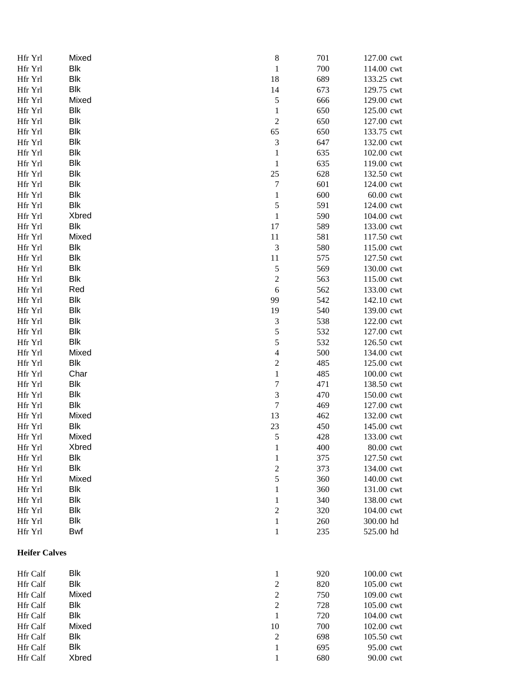| Hfr Yrl              | Mixed      |        | $\,$ 8 $\,$<br>701                 | 127.00 cwt |
|----------------------|------------|--------|------------------------------------|------------|
| Hfr Yrl              | <b>Blk</b> |        | $\,1\,$<br>700                     | 114.00 cwt |
| Hfr Yrl              | <b>Blk</b> | 18     | 689                                | 133.25 cwt |
| Hfr Yrl              | <b>Blk</b> | 14     | 673                                | 129.75 cwt |
| Hfr Yrl              | Mixed      |        | 5<br>666                           | 129.00 cwt |
| Hfr Yrl              | <b>Blk</b> |        | $\,1$<br>650                       | 125.00 cwt |
| Hfr Yrl              | <b>Blk</b> |        | $\overline{c}$<br>650              | 127.00 cwt |
| Hfr Yrl              | <b>Blk</b> | 65     | 650                                | 133.75 cwt |
| Hfr Yrl              | <b>Blk</b> |        | $\sqrt{3}$<br>647                  | 132.00 cwt |
| Hfr Yrl              | <b>Blk</b> |        | $\mathbf{1}$<br>635                | 102.00 cwt |
| Hfr Yrl              | <b>Blk</b> |        | $\mathbf{1}$<br>635                | 119.00 cwt |
| Hfr Yrl              | <b>Blk</b> | $25\,$ | 628                                | 132.50 cwt |
| Hfr Yrl              | <b>Blk</b> |        | $\overline{7}$<br>601              | 124.00 cwt |
| Hfr Yrl              | Blk        |        | $\,1\,$<br>600                     | 60.00 cwt  |
| Hfr Yrl              | <b>Blk</b> |        | 5<br>591                           | 124.00 cwt |
| Hfr Yrl              | Xbred      |        | $\,1\,$<br>590                     | 104.00 cwt |
| Hfr Yrl              | Blk        | 17     | 589                                | 133.00 cwt |
| Hfr Yrl              | Mixed      | 11     | 581                                | 117.50 cwt |
| Hfr Yrl              | <b>Blk</b> |        | $\ensuremath{\mathfrak{Z}}$<br>580 | 115.00 cwt |
| Hfr Yrl              | <b>Blk</b> | 11     | 575                                | 127.50 cwt |
| Hfr Yrl              | <b>Blk</b> |        | 5<br>569                           | 130.00 cwt |
| Hfr Yrl              | <b>Blk</b> |        | $\overline{c}$<br>563              | 115.00 cwt |
| Hfr Yrl              | Red        |        | $\sqrt{6}$<br>562                  | 133.00 cwt |
| Hfr Yrl              | <b>Blk</b> | 99     | 542                                | 142.10 cwt |
| Hfr Yrl              | <b>Blk</b> | 19     | 540                                | 139.00 cwt |
| Hfr Yrl              | <b>Blk</b> |        | $\mathfrak{Z}$<br>538              | 122.00 cwt |
| Hfr Yrl              | <b>Blk</b> |        | 5<br>532                           | 127.00 cwt |
| Hfr Yrl              | <b>Blk</b> |        | 5<br>532                           | 126.50 cwt |
| Hfr Yrl              | Mixed      |        | $\overline{\mathcal{L}}$<br>500    | 134.00 cwt |
| Hfr Yrl              | Blk        |        | $\overline{c}$<br>485              | 125.00 cwt |
| Hfr Yrl              | Char       |        | $\,1$<br>485                       | 100.00 cwt |
| Hfr Yrl              | <b>Blk</b> |        | $\boldsymbol{7}$<br>471            | 138.50 cwt |
| Hfr Yrl              | <b>Blk</b> |        | $\mathfrak{Z}$<br>470              | 150.00 cwt |
| Hfr Yrl              | <b>Blk</b> |        | $\boldsymbol{7}$<br>469            | 127.00 cwt |
| Hfr Yrl              | Mixed      | 13     | 462                                | 132.00 cwt |
| Hfr Yrl              | <b>Blk</b> | 23     | 450                                | 145.00 cwt |
| Hfr Yrl              | Mixed      |        | 428<br>5                           | 133.00 cwt |
| Hfr Yrl              | Xbred      |        | $\mathbf 1$<br>400                 | 80.00 cwt  |
| Hfr Yrl              | <b>Blk</b> |        | 375<br>$\mathbf{1}$                | 127.50 cwt |
| Hfr Yrl              | <b>Blk</b> |        | $\boldsymbol{2}$<br>373            | 134.00 cwt |
| Hfr Yrl              | Mixed      |        | $\mathfrak s$<br>360               | 140.00 cwt |
| Hfr Yrl              | <b>Blk</b> |        | $\mathbf{1}$<br>360                | 131.00 cwt |
| Hfr Yrl              | <b>Blk</b> |        | 340<br>$\mathbf{1}$                | 138.00 cwt |
| Hfr Yrl              | <b>Blk</b> |        | $\overline{c}$<br>320              | 104.00 cwt |
| Hfr Yrl              | <b>Blk</b> |        | $\mathbf{1}$<br>260                | 300.00 hd  |
| Hfr Yrl              | Bwf        |        | $\mathbf{1}$<br>235                | 525.00 hd  |
| <b>Heifer Calves</b> |            |        |                                    |            |
| Hfr Calf             | Blk        |        | $\mathbf{1}$<br>920                | 100.00 cwt |
| Hfr Calf             | Blk        |        | $\overline{c}$<br>820              | 105.00 cwt |
| Hfr Calf             | Mixed      |        | $\overline{c}$<br>750              | 109.00 cwt |
| Hfr Calf             | <b>Blk</b> |        | $\overline{c}$<br>728              | 105.00 cwt |
| Hfr Calf             | <b>Blk</b> |        | $\,1\,$<br>720                     | 104.00 cwt |
| <b>Hfr Calf</b>      | Mixed      | 10     | 700                                | 102.00 cwt |
| Hfr Calf             | <b>Blk</b> |        | $\sqrt{2}$<br>698                  | 105.50 cwt |
| Hfr Calf             | <b>Blk</b> |        | $\mathbf{1}$<br>695                | 95.00 cwt  |
| Hfr Calf             | Xbred      |        | $\mathbf{1}$<br>680                | 90.00 cwt  |
|                      |            |        |                                    |            |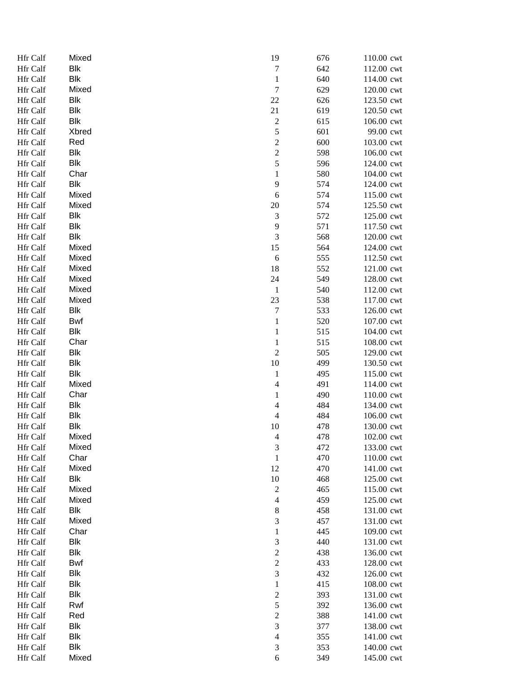| Hfr Calf        | Mixed      | 19                          | 676 | 110.00 cwt |
|-----------------|------------|-----------------------------|-----|------------|
| Hfr Calf        | Blk        | $\boldsymbol{7}$            | 642 | 112.00 cwt |
| Hfr Calf        | Blk        | $\,1$                       | 640 | 114.00 cwt |
| Hfr Calf        | Mixed      | $\boldsymbol{7}$            | 629 | 120.00 cwt |
| Hfr Calf        | Blk        | $22\,$                      | 626 | 123.50 cwt |
| Hfr Calf        | <b>Blk</b> | 21                          | 619 | 120.50 cwt |
| Hfr Calf        | Blk        | $\overline{\mathbf{c}}$     | 615 | 106.00 cwt |
| Hfr Calf        | Xbred      | 5                           | 601 | 99.00 cwt  |
| Hfr Calf        | Red        | $\overline{c}$              | 600 | 103.00 cwt |
| <b>Hfr Calf</b> | Blk        | $\overline{\mathbf{c}}$     | 598 | 106.00 cwt |
| Hfr Calf        | <b>Blk</b> | 5                           | 596 | 124.00 cwt |
| Hfr Calf        | Char       | $\mathbf{1}$                | 580 | 104.00 cwt |
| Hfr Calf        | Blk        | 9                           | 574 | 124.00 cwt |
| Hfr Calf        | Mixed      | $\sqrt{6}$                  | 574 | 115.00 cwt |
| Hfr Calf        | Mixed      | $20\,$                      | 574 | 125.50 cwt |
| Hfr Calf        | Blk        | $\ensuremath{\mathfrak{Z}}$ | 572 | 125.00 cwt |
| Hfr Calf        | Blk        | 9                           | 571 | 117.50 cwt |
| Hfr Calf        | Blk        | $\mathfrak{Z}$              | 568 | 120.00 cwt |
| Hfr Calf        | Mixed      | 15                          | 564 | 124.00 cwt |
|                 | Mixed      |                             |     |            |
| Hfr Calf        |            | $\sqrt{6}$                  | 555 | 112.50 cwt |
| Hfr Calf        | Mixed      | 18                          | 552 | 121.00 cwt |
| Hfr Calf        | Mixed      | 24                          | 549 | 128.00 cwt |
| Hfr Calf        | Mixed      | $\mathbf{1}$                | 540 | 112.00 cwt |
| Hfr Calf        | Mixed      | 23                          | 538 | 117.00 cwt |
| Hfr Calf        | Blk        | $\boldsymbol{7}$            | 533 | 126.00 cwt |
| Hfr Calf        | Bwf        | $\,1$                       | 520 | 107.00 cwt |
| Hfr Calf        | Blk        | $\mathbf{1}$                | 515 | 104.00 cwt |
| Hfr Calf        | Char       | $\mathbf{1}$                | 515 | 108.00 cwt |
| Hfr Calf        | Blk        | $\mathfrak{2}$              | 505 | 129.00 cwt |
| Hfr Calf        | Blk        | $10\,$                      | 499 | 130.50 cwt |
| Hfr Calf        | <b>Blk</b> | $\mathbf{1}$                | 495 | 115.00 cwt |
| Hfr Calf        | Mixed      | $\overline{4}$              | 491 | 114.00 cwt |
| Hfr Calf        | Char       | $\mathbf{1}$                | 490 | 110.00 cwt |
| Hfr Calf        | Blk        | $\overline{\mathcal{A}}$    | 484 | 134.00 cwt |
| Hfr Calf        | Blk        | $\overline{4}$              | 484 | 106.00 cwt |
| Hfr Calf        | Blk        | 10                          | 478 | 130.00 cwt |
| Hfr Calf        | Mixed      | $\overline{4}$              | 478 | 102.00 cwt |
| Hfr Calf        | Mixed      | $\mathfrak{Z}$              | 472 | 133.00 cwt |
| Hfr Calf        | Char       | $\,1\,$                     | 470 | 110.00 cwt |
| Hfr Calf        | Mixed      | 12                          | 470 | 141.00 cwt |
| <b>Hfr Calf</b> | Blk        | $10\,$                      | 468 | 125.00 cwt |
| Hfr Calf        | Mixed      | $\sqrt{2}$                  | 465 | 115.00 cwt |
| Hfr Calf        | Mixed      | $\overline{4}$              | 459 | 125.00 cwt |
| Hfr Calf        | Blk        | $\,$ $\,$                   | 458 | 131.00 cwt |
| Hfr Calf        | Mixed      | 3                           | 457 | 131.00 cwt |
| Hfr Calf        | Char       | $\mathbf{1}$                | 445 | 109.00 cwt |
| Hfr Calf        | Blk        | 3                           | 440 | 131.00 cwt |
| Hfr Calf        | <b>Blk</b> | $\overline{\mathbf{c}}$     | 438 | 136.00 cwt |
| Hfr Calf        | Bwf        | $\overline{c}$              | 433 | 128.00 cwt |
| Hfr Calf        | Blk        | $\overline{3}$              | 432 | 126.00 cwt |
| Hfr Calf        | Blk        | $\,1$                       | 415 | 108.00 cwt |
|                 | <b>Blk</b> |                             |     |            |
| Hfr Calf        |            | $\overline{c}$              | 393 | 131.00 cwt |
| Hfr Calf        | Rwf        | 5                           | 392 | 136.00 cwt |
| Hfr Calf        | Red        | $\overline{c}$              | 388 | 141.00 cwt |
| Hfr Calf        | Blk        | $\overline{\mathbf{3}}$     | 377 | 138.00 cwt |
| Hfr Calf        | <b>Blk</b> | $\overline{4}$              | 355 | 141.00 cwt |
| Hfr Calf        | <b>Blk</b> | $\sqrt{3}$                  | 353 | 140.00 cwt |
| Hfr Calf        | Mixed      | $\sqrt{6}$                  | 349 | 145.00 cwt |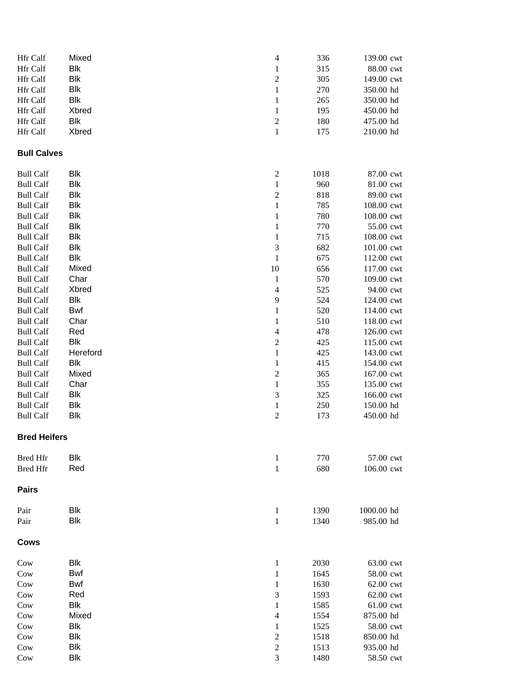| Hfr Calf            | Mixed      | $\overline{\mathcal{L}}$ | 336          | 139.00 cwt             |
|---------------------|------------|--------------------------|--------------|------------------------|
| Hfr Calf            | <b>Blk</b> | $\mathbf{1}$             | 315          | 88.00 cwt              |
| Hfr Calf            | <b>Blk</b> | $\overline{c}$           | 305          | 149.00 cwt             |
| Hfr Calf            | <b>Blk</b> | $\mathbf{1}$             | 270          | 350.00 hd              |
| Hfr Calf            | <b>Blk</b> | $\mathbf{1}$             | 265          | 350.00 hd              |
| Hfr Calf            | Xbred      | $\mathbf{1}$             | 195          | 450.00 hd              |
| Hfr Calf            | <b>Blk</b> | $\overline{c}$           | 180          | 475.00 hd              |
| Hfr Calf            | Xbred      | $\mathbf{1}$             | 175          | 210.00 hd              |
| <b>Bull Calves</b>  |            |                          |              |                        |
| <b>Bull Calf</b>    | <b>Blk</b> | $\boldsymbol{2}$         | 1018         | 87.00 cwt              |
| <b>Bull Calf</b>    | <b>Blk</b> | $\,1$                    | 960          | 81.00 cwt              |
| <b>Bull Calf</b>    | <b>Blk</b> | $\overline{\mathbf{c}}$  | 818          | 89.00 cwt              |
| <b>Bull Calf</b>    | <b>Blk</b> | $\,1$                    | 785          | 108.00 cwt             |
| <b>Bull Calf</b>    | <b>Blk</b> | $\,1$                    | 780          | 108.00 cwt             |
| <b>Bull Calf</b>    | <b>Blk</b> | $\mathbf 1$              | 770          | 55.00 cwt              |
| <b>Bull Calf</b>    | <b>Blk</b> | $\mathbf 1$              | 715          | 108.00 cwt             |
| <b>Bull Calf</b>    | Blk        | $\sqrt{3}$               | 682          | 101.00 cwt             |
| <b>Bull Calf</b>    | <b>Blk</b> | $\mathbf{1}$             | 675          | 112.00 cwt             |
| <b>Bull Calf</b>    | Mixed      | 10                       | 656          | 117.00 cwt             |
| <b>Bull Calf</b>    | Char       | $\mathbf{1}$             | 570          | 109.00 cwt             |
| <b>Bull Calf</b>    | Xbred      | $\overline{4}$           | 525          | 94.00 cwt              |
| <b>Bull Calf</b>    | <b>Blk</b> | 9                        | 524          | 124.00 cwt             |
| <b>Bull Calf</b>    | Bwf        | $\mathbf{1}$             | 520          | 114.00 cwt             |
| <b>Bull Calf</b>    | Char       | $\mathbf{1}$             | 510          | 118.00 cwt             |
| <b>Bull Calf</b>    | Red        | $\overline{\mathcal{L}}$ | 478          | 126.00 cwt             |
| <b>Bull Calf</b>    | <b>Blk</b> | $\overline{c}$           | 425          | 115.00 cwt             |
| <b>Bull Calf</b>    | Hereford   | $\,1$                    | 425          | 143.00 cwt             |
| <b>Bull Calf</b>    | <b>Blk</b> | $\mathbf 1$              | 415          | 154.00 cwt             |
| <b>Bull Calf</b>    | Mixed      | $\overline{c}$           | 365          | 167.00 cwt             |
| <b>Bull Calf</b>    | Char       | $\,1$                    | 355          | 135.00 cwt             |
| <b>Bull Calf</b>    | <b>Blk</b> | 3                        | 325          | 166.00 cwt             |
| <b>Bull Calf</b>    | <b>Blk</b> | $\,1$                    | 250          | 150.00 hd              |
| <b>Bull Calf</b>    | <b>Blk</b> | $\overline{\mathbf{c}}$  | 173          | 450.00 hd              |
| <b>Bred Heifers</b> |            |                          |              |                        |
| <b>Bred Hfr</b>     | Blk        | $\mathbf{1}$             | 770          | 57.00 cwt              |
| <b>Bred Hfr</b>     | Red        | $\,1$                    | 680          | 106.00 cwt             |
| <b>Pairs</b>        |            |                          |              |                        |
| Pair                | Blk        | $\mathbf{1}$             | 1390         | 1000.00 hd             |
| Pair                | <b>Blk</b> | $\,1$                    | 1340         | 985.00 hd              |
| <b>Cows</b>         |            |                          |              |                        |
|                     | <b>Blk</b> |                          |              |                        |
| Cow<br>Cow          | <b>Bwf</b> | 1<br>$\mathbf{1}$        | 2030<br>1645 | 63.00 cwt<br>58.00 cwt |
| Cow                 | Bwf        | $\mathbf{1}$             | 1630         | 62.00 cwt              |
| Cow                 | Red        | 3                        | 1593         | 62.00 cwt              |
| Cow                 | <b>Blk</b> | $\mathbf{1}$             | 1585         | 61.00 cwt              |
| Cow                 | Mixed      | 4                        | 1554         | 875.00 hd              |
| Cow                 | <b>Blk</b> | $\mathbf{1}$             | 1525         | 58.00 cwt              |
| Cow                 | <b>Blk</b> | $\overline{\mathbf{c}}$  | 1518         | 850.00 hd              |
| Cow                 | <b>Blk</b> | $\overline{\mathbf{c}}$  | 1513         | 935.00 hd              |
| Cow                 | <b>Blk</b> | 3                        | 1480         | 58.50 cwt              |
|                     |            |                          |              |                        |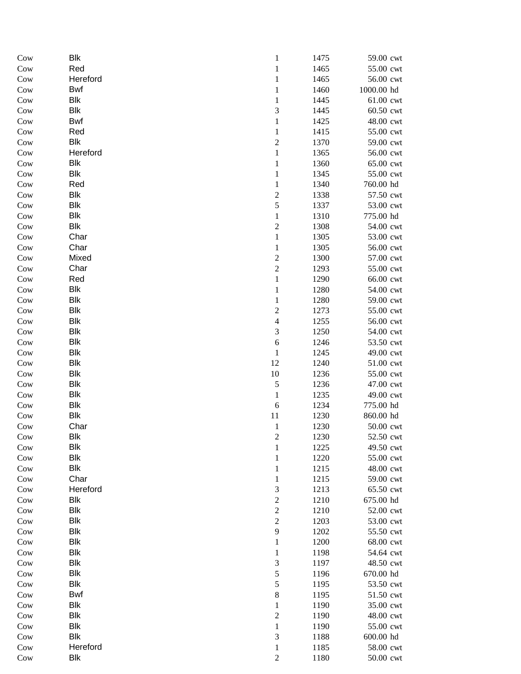| Cow | <b>Blk</b> | $\mathbf{1}$             | 1475 | 59.00 cwt                         |
|-----|------------|--------------------------|------|-----------------------------------|
| Cow | Red        | $\mathbf{1}$             | 1465 | 55.00 cwt                         |
| Cow | Hereford   | $\,1$                    | 1465 | 56.00 cwt                         |
| Cow | Bwf        | $\,1$                    | 1460 | 1000.00 hd                        |
| Cow | <b>Blk</b> | $\mathbf 1$              | 1445 | 61.00 cwt                         |
| Cow | Blk        | 3                        | 1445 | 60.50 cwt                         |
| Cow | <b>Bwf</b> | $\mathbf{1}$             | 1425 | 48.00 cwt                         |
| Cow | Red        | $\mathbf{1}$             | 1415 | 55.00 cwt                         |
| Cow | Blk        | $\overline{\mathbf{c}}$  | 1370 | 59.00 cwt                         |
| Cow | Hereford   | $\mathbf{1}$             | 1365 | 56.00 cwt                         |
| Cow | Blk        | $\mathbf 1$              | 1360 | 65.00 cwt                         |
| Cow | Blk        | $\mathbf 1$              | 1345 | 55.00 cwt                         |
| Cow | Red        | $\mathbf 1$              | 1340 | 760.00 hd                         |
| Cow | Blk        | $\overline{c}$           | 1338 | 57.50 cwt                         |
| Cow | <b>Blk</b> | 5                        | 1337 | 53.00 cwt                         |
| Cow | Blk        | $\,1$                    | 1310 | 775.00 hd                         |
| Cow | <b>Blk</b> | $\overline{\mathbf{c}}$  | 1308 | 54.00 cwt                         |
| Cow | Char       | $\mathbf 1$              | 1305 | 53.00 cwt                         |
| Cow | Char       | $\,1$                    | 1305 | 56.00 cwt                         |
| Cow | Mixed      | $\overline{c}$           | 1300 | 57.00 cwt                         |
| Cow | Char       | $\overline{c}$           | 1293 | 55.00 cwt                         |
| Cow | Red        | $\,1$                    | 1290 | 66.00 cwt                         |
| Cow | Blk        | $\mathbf 1$              | 1280 | 54.00 cwt                         |
| Cow | Blk        | $\mathbf{1}$             | 1280 | 59.00 cwt                         |
| Cow | <b>Blk</b> | $\overline{c}$           | 1273 | 55.00 cwt                         |
| Cow | <b>Blk</b> | $\overline{\mathcal{L}}$ | 1255 | 56.00 cwt                         |
| Cow | <b>Blk</b> | $\mathfrak{Z}$           | 1250 | 54.00 cwt                         |
| Cow | Blk        | 6                        | 1246 | 53.50 cwt                         |
| Cow | Blk        | $\mathbf{1}$             | 1245 | 49.00 cwt                         |
| Cow | Blk        | 12                       | 1240 | $51.00$ $\ensuremath{\text{cwt}}$ |
| Cow | Blk        | 10                       | 1236 | 55.00 cwt                         |
| Cow | Blk        | 5                        | 1236 | 47.00 cwt                         |
| Cow | <b>Blk</b> | $\mathbf 1$              | 1235 | 49.00 cwt                         |
| Cow | <b>Blk</b> | 6                        | 1234 | 775.00 hd                         |
| Cow | <b>Blk</b> | 11                       | 1230 | 860.00 hd                         |
| Cow | Char       | $\mathbf{1}$             | 1230 | 50.00 cwt                         |
| Cow | Blk        | $\overline{\mathbf{c}}$  | 1230 | 52.50 cwt                         |
| Cow | <b>Blk</b> | $\mathbf 1$              | 1225 | 49.50 cwt                         |
| Cow | <b>Blk</b> | $\,1$                    | 1220 | 55.00 cwt                         |
| Cow | <b>Blk</b> | $\mathbf{1}$             | 1215 | 48.00 cwt                         |
| Cow | Char       | $\mathbf{1}$             | 1215 | 59.00 cwt                         |
| Cow | Hereford   | 3                        | 1213 | 65.50 cwt                         |
| Cow | <b>Blk</b> | $\overline{c}$           | 1210 | 675.00 hd                         |
| Cow | <b>Blk</b> | $\overline{\mathbf{c}}$  | 1210 | 52.00 cwt                         |
| Cow | Blk        | $\overline{c}$           | 1203 | 53.00 cwt                         |
| Cow | Blk        | 9                        | 1202 | 55.50 cwt                         |
| Cow | Blk        | $\,1$                    | 1200 | 68.00 cwt                         |
| Cow | Blk        | $\mathbf{1}$             | 1198 | 54.64 cwt                         |
| Cow | <b>Blk</b> | 3                        | 1197 | 48.50 cwt                         |
| Cow | <b>Blk</b> | 5                        | 1196 | 670.00 hd                         |
| Cow | <b>Blk</b> | 5                        | 1195 | 53.50 cwt                         |
| Cow | <b>Bwf</b> | 8                        | 1195 | 51.50 cwt                         |
| Cow | <b>Blk</b> | $\,1$                    | 1190 | 35.00 cwt                         |
| Cow | <b>Blk</b> | $\overline{c}$           | 1190 | 48.00 cwt                         |
| Cow | <b>Blk</b> | $\mathbf 1$              | 1190 | 55.00 cwt                         |
| Cow | <b>Blk</b> | 3                        | 1188 | 600.00 hd                         |
| Cow | Hereford   | $\mathbf{1}$             | 1185 | 58.00 cwt                         |
| Cow | <b>Blk</b> | $\mathfrak{2}$           | 1180 | 50.00 cwt                         |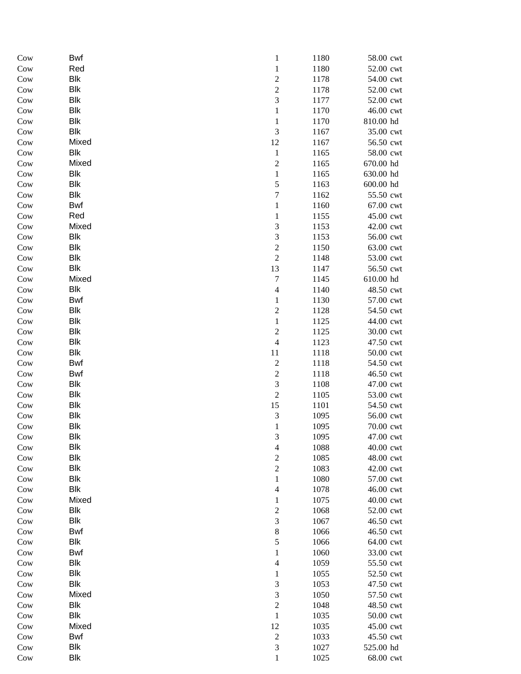| Cow | Bwf        | $\mathbf{1}$            | 1180 | 58.00 cwt |
|-----|------------|-------------------------|------|-----------|
| Cow | Red        | $\mathbf 1$             | 1180 | 52.00 cwt |
| Cow | <b>Blk</b> | $\overline{\mathbf{c}}$ | 1178 | 54.00 cwt |
| Cow | <b>Blk</b> | $\overline{c}$          | 1178 | 52.00 cwt |
| Cow | <b>Blk</b> | 3                       | 1177 | 52.00 cwt |
| Cow | <b>Blk</b> | $\mathbf{1}$            | 1170 | 46.00 cwt |
| Cow | <b>Blk</b> | $\mathbf{1}$            | 1170 | 810.00 hd |
| Cow | <b>Blk</b> | 3                       | 1167 | 35.00 cwt |
| Cow | Mixed      | 12                      | 1167 | 56.50 cwt |
| Cow | Blk        | $\,1$                   | 1165 | 58.00 cwt |
| Cow | Mixed      | $\overline{c}$          | 1165 | 670.00 hd |
| Cow | <b>Blk</b> | $\mathbf{1}$            | 1165 | 630.00 hd |
| Cow | <b>Blk</b> | 5                       | 1163 | 600.00 hd |
| Cow | Blk        | $\overline{7}$          | 1162 | 55.50 cwt |
| Cow | <b>Bwf</b> | $\mathbf 1$             | 1160 | 67.00 cwt |
| Cow | Red        | $\mathbf 1$             | 1155 | 45.00 cwt |
| Cow | Mixed      | 3                       | 1153 | 42.00 cwt |
| Cow | <b>Blk</b> | 3                       | 1153 | 56.00 cwt |
| Cow | <b>Blk</b> | $\overline{c}$          | 1150 | 63.00 cwt |
| Cow | <b>Blk</b> | $\overline{c}$          | 1148 | 53.00 cwt |
| Cow | <b>Blk</b> | 13                      | 1147 | 56.50 cwt |
| Cow | Mixed      | $\sqrt{ }$              | 1145 | 610.00 hd |
| Cow | <b>Blk</b> | $\overline{4}$          | 1140 | 48.50 cwt |
| Cow | <b>Bwf</b> | $\mathbf{1}$            | 1130 | 57.00 cwt |
| Cow | <b>Blk</b> | $\sqrt{2}$              | 1128 | 54.50 cwt |
| Cow | Blk        | $\,1$                   | 1125 | 44.00 cwt |
| Cow | <b>Blk</b> | $\overline{c}$          | 1125 | 30.00 cwt |
| Cow | <b>Blk</b> | $\overline{4}$          | 1123 | 47.50 cwt |
| Cow | <b>Blk</b> | 11                      | 1118 | 50.00 cwt |
| Cow | <b>Bwf</b> | $\overline{\mathbf{c}}$ | 1118 | 54.50 cwt |
| Cow | <b>Bwf</b> | $\overline{c}$          | 1118 | 46.50 cwt |
| Cow | Blk        | 3                       | 1108 | 47.00 cwt |
| Cow | <b>Blk</b> | $\overline{c}$          | 1105 | 53.00 cwt |
| Cow | <b>Blk</b> | 15                      | 1101 | 54.50 cwt |
| Cow | <b>Blk</b> | 3                       | 1095 | 56.00 cwt |
| Cow | <b>Blk</b> | $\mathbf{1}$            | 1095 | 70.00 cwt |
| Cow | <b>Blk</b> | 3                       | 1095 | 47.00 cwt |
| Cow | <b>Blk</b> | $\overline{4}$          | 1088 | 40.00 cwt |
| Cow | <b>Blk</b> | $\overline{c}$          | 1085 | 48.00 cwt |
| Cow | <b>Blk</b> | $\overline{c}$          | 1083 | 42.00 cwt |
| Cow | <b>Blk</b> | $\,1$                   | 1080 | 57.00 cwt |
| Cow | Blk        | $\overline{4}$          | 1078 | 46.00 cwt |
| Cow | Mixed      | $\mathbf{1}$            | 1075 | 40.00 cwt |
| Cow | <b>Blk</b> | $\overline{c}$          | 1068 | 52.00 cwt |
| Cow | <b>Blk</b> | 3                       | 1067 | 46.50 cwt |
| Cow | <b>Bwf</b> | $\,$ 8 $\,$             | 1066 | 46.50 cwt |
| Cow | <b>Blk</b> | 5                       | 1066 | 64.00 cwt |
| Cow | <b>Bwf</b> | $\mathbf{1}$            | 1060 | 33.00 cwt |
| Cow | Blk        | $\overline{4}$          | 1059 | 55.50 cwt |
| Cow | <b>Blk</b> | $\mathbf{1}$            | 1055 | 52.50 cwt |
| Cow | <b>Blk</b> | $\sqrt{3}$              | 1053 | 47.50 cwt |
| Cow | Mixed      | 3                       | 1050 | 57.50 cwt |
| Cow | <b>Blk</b> | $\overline{c}$          | 1048 | 48.50 cwt |
| Cow | <b>Blk</b> | $\,1$                   | 1035 | 50.00 cwt |
| Cow | Mixed      | 12                      | 1035 | 45.00 cwt |
| Cow | <b>Bwf</b> | $\overline{c}$          | 1033 | 45.50 cwt |
| Cow | <b>Blk</b> | 3                       | 1027 | 525.00 hd |
| Cow | Blk        | $\,1$                   | 1025 | 68.00 cwt |
|     |            |                         |      |           |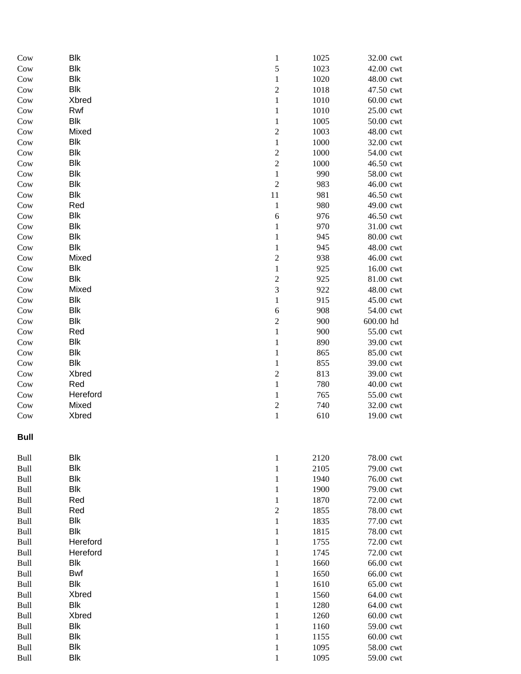| Cow  | <b>Blk</b> | $\mathbf{1}$            | 1025 | 32.00 cwt |
|------|------------|-------------------------|------|-----------|
| Cow  | <b>Blk</b> | 5                       | 1023 | 42.00 cwt |
| Cow  | <b>Blk</b> | $\,1$                   | 1020 | 48.00 cwt |
| Cow  | <b>Blk</b> | $\overline{c}$          | 1018 | 47.50 cwt |
| Cow  | Xbred      | $\,1$                   | 1010 | 60.00 cwt |
| Cow  | Rwf        | $\mathbf{1}$            | 1010 | 25.00 cwt |
| Cow  | <b>Blk</b> | $\,1$                   | 1005 | 50.00 cwt |
| Cow  | Mixed      | $\overline{\mathbf{c}}$ | 1003 | 48.00 cwt |
| Cow  | <b>Blk</b> | $\mathbf 1$             | 1000 | 32.00 cwt |
| Cow  | <b>Blk</b> | $\overline{\mathbf{c}}$ | 1000 | 54.00 cwt |
| Cow  | <b>Blk</b> | $\sqrt{2}$              | 1000 | 46.50 cwt |
| Cow  | <b>Blk</b> | $\mathbf 1$             | 990  | 58.00 cwt |
| Cow  | <b>Blk</b> | $\mathfrak{2}$          | 983  | 46.00 cwt |
| Cow  | <b>Blk</b> | $11\,$                  | 981  | 46.50 cwt |
| Cow  | Red        | $\mathbf 1$             | 980  | 49.00 cwt |
| Cow  | <b>Blk</b> | 6                       | 976  | 46.50 cwt |
| Cow  | <b>Blk</b> | $\,1$                   | 970  | 31.00 cwt |
| Cow  | <b>Blk</b> | $\mathbf{1}$            | 945  | 80.00 cwt |
| Cow  | <b>Blk</b> | $\,1$                   | 945  | 48.00 cwt |
| Cow  | Mixed      | $\overline{c}$          | 938  | 46.00 cwt |
| Cow  | <b>Blk</b> | $\,1$                   | 925  | 16.00 cwt |
| Cow  | <b>Blk</b> | $\overline{c}$          | 925  | 81.00 cwt |
| Cow  | Mixed      | 3                       | 922  | 48.00 cwt |
| Cow  | <b>Blk</b> | $\mathbf{1}$            | 915  | 45.00 cwt |
| Cow  | <b>Blk</b> | $\sqrt{6}$              | 908  | 54.00 cwt |
| Cow  | <b>Blk</b> | $\sqrt{2}$              | 900  | 600.00 hd |
| Cow  | Red        | $\mathbf 1$             | 900  | 55.00 cwt |
| Cow  | <b>Blk</b> | $\mathbf{1}$            | 890  | 39.00 cwt |
| Cow  | <b>Blk</b> | $\mathbf{1}$            | 865  | 85.00 cwt |
| Cow  | <b>Blk</b> | $\mathbf{1}$            | 855  | 39.00 cwt |
| Cow  | Xbred      | $\overline{c}$          | 813  | 39.00 cwt |
| Cow  | Red        | $\,1$                   | 780  | 40.00 cwt |
| Cow  | Hereford   | $\mathbf 1$             | 765  | 55.00 cwt |
| Cow  | Mixed      | $\overline{c}$          | 740  | 32.00 cwt |
| Cow  | Xbred      | $\,1$                   | 610  | 19.00 cwt |
| Bull |            |                         |      |           |
| Bull | <b>Blk</b> | $\mathbf{1}$            | 2120 | 78.00 cwt |
| Bull | <b>Blk</b> | $\mathbf{1}$            | 2105 | 79.00 cwt |
| Bull | <b>Blk</b> | $\mathbf{1}$            | 1940 | 76.00 cwt |
| Bull | <b>Blk</b> | $\mathbf{1}$            | 1900 | 79.00 cwt |
| Bull | Red        | $\mathbf{1}$            | 1870 | 72.00 cwt |
| Bull | Red        | $\overline{\mathbf{c}}$ | 1855 | 78.00 cwt |
| Bull | <b>Blk</b> | $\,1$                   | 1835 | 77.00 cwt |
| Bull | <b>Blk</b> | $\mathbf{1}$            | 1815 | 78.00 cwt |
| Bull | Hereford   | $\mathbf{1}$            | 1755 | 72.00 cwt |
| Bull | Hereford   | $\mathbf{1}$            | 1745 | 72.00 cwt |
| Bull | <b>Blk</b> | $\mathbf{1}$            | 1660 | 66.00 cwt |
| Bull | <b>Bwf</b> | $\mathbf 1$             | 1650 | 66.00 cwt |
| Bull | <b>Blk</b> | $\,1$                   | 1610 | 65.00 cwt |
| Bull | Xbred      | $\,1$                   | 1560 | 64.00 cwt |
| Bull | <b>Blk</b> | $\mathbf{1}$            | 1280 | 64.00 cwt |
| Bull | Xbred      | $\mathbf{1}$            | 1260 | 60.00 cwt |
| Bull | <b>Blk</b> | $\mathbf{1}$            | 1160 | 59.00 cwt |
| Bull | <b>Blk</b> | $\mathbf{1}$            | 1155 | 60.00 cwt |
| Bull | <b>Blk</b> | $\mathbf{1}$            | 1095 | 58.00 cwt |
| Bull | <b>Blk</b> | $\mathbf{1}$            | 1095 | 59.00 cwt |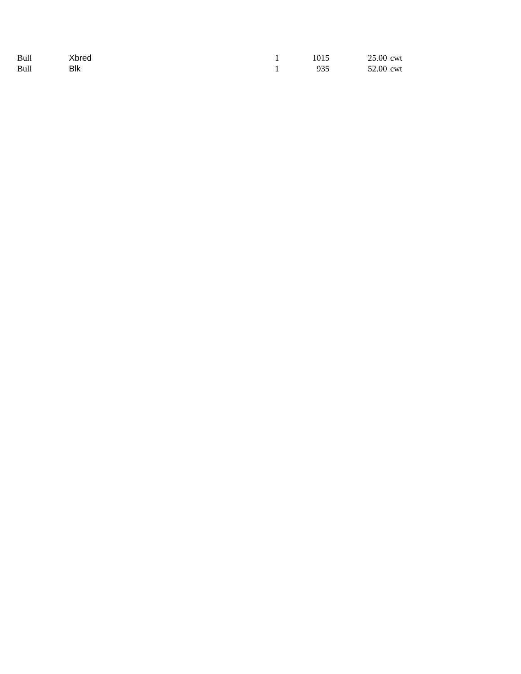| Bull | Xbred | 1015 | 25.00 cwt |
|------|-------|------|-----------|
| Bull | Blk   | 935  | 52.00 cwt |